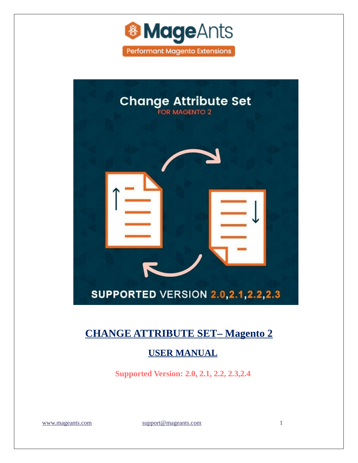



### **[CHANGE ATTRIBUTE SET–](https://www.mageants.com/change-attribute-set-extension-for-magento-2.html) Magento 2**

#### **USER MANUAL**

**Supported Version: 2.0, 2.1, 2.2, 2.3,2.4**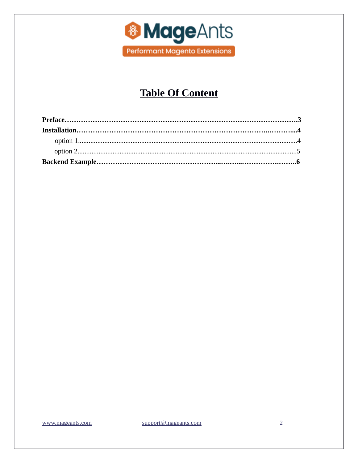

# **Table Of Content**

support@mageants.com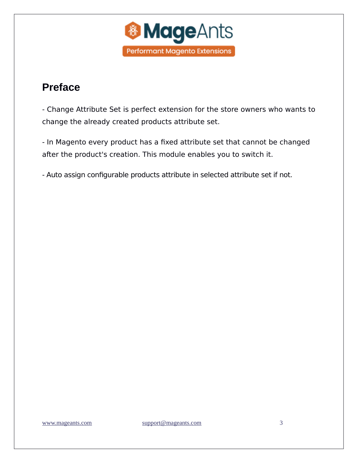

# <span id="page-2-0"></span>**Preface**

- Change Attribute Set is perfect extension for the store owners who wants to change the already created products attribute set.

- In Magento every product has a fixed attribute set that cannot be changed after the product's creation. This module enables you to switch it.

- Auto assign configurable products attribute in selected attribute set if not.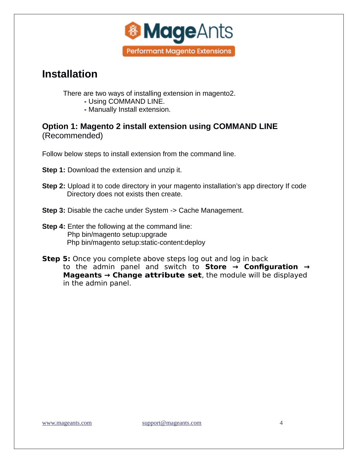

# <span id="page-3-0"></span>**Installation**

There are two ways of installing extension in magento2.

- Using COMMAND LINE.
- Manually Install extension.

**Option 1: Magento 2 install extension using COMMAND LINE**  (Recommended)

Follow below steps to install extension from the command line.

**Step 1:** Download the extension and unzip it.

- **Step 2:** Upload it to code directory in your magento installation's app directory If code Directory does not exists then create.
- **Step 3:** Disable the cache under System -> Cache Management.
- **Step 4:** Enter the following at the command line: Php bin/magento setup:upgrade Php bin/magento setup:static-content:deploy
- **Step 5:** Once you complete above steps log out and log in back to the admin panel and switch to **Store → Configuration → Mageants → Change attribute set**, the module will be displayed in the admin panel.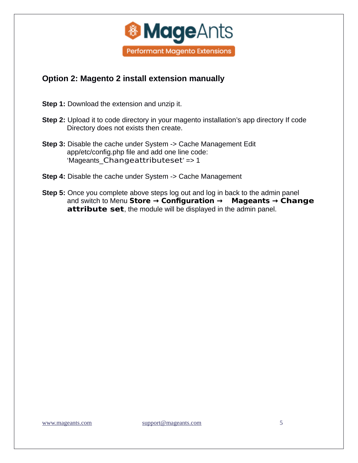

#### <span id="page-4-0"></span>**Option 2: Magento 2 install extension manually**

**Step 1:** Download the extension and unzip it.

- **Step 2:** Upload it to code directory in your magento installation's app directory If code Directory does not exists then create.
- **Step 3:** Disable the cache under System -> Cache Management Edit app/etc/config.php file and add one line code: 'Mageants\_Changeattributeset' => 1
- **Step 4:** Disable the cache under System -> Cache Management
- **Step 5:** Once you complete above steps log out and log in back to the admin panel and switch to Menu **Store → Configuration → Mageants → Change attribute set**, the module will be displayed in the admin panel.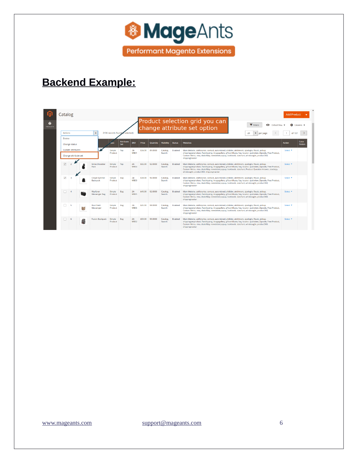

# **Backend Example:**

<span id="page-5-0"></span>

|                      | Catalog                                                                                                    |                                                                                                                           |          |      |                                       |                   |                |                       |                   |                    |                    |                                                                                                                                                                                                                                                                                                                                       |                                                                                                                                                                                                                                                                                                                                                                          | <b>Add Product</b>  |       |  |
|----------------------|------------------------------------------------------------------------------------------------------------|---------------------------------------------------------------------------------------------------------------------------|----------|------|---------------------------------------|-------------------|----------------|-----------------------|-------------------|--------------------|--------------------|---------------------------------------------------------------------------------------------------------------------------------------------------------------------------------------------------------------------------------------------------------------------------------------------------------------------------------------|--------------------------------------------------------------------------------------------------------------------------------------------------------------------------------------------------------------------------------------------------------------------------------------------------------------------------------------------------------------------------|---------------------|-------|--|
| Ŵ<br><b>PRODUCTS</b> | Product selection grid you can<br><b>T</b> Filters<br><b>O</b> Default View<br>change attribute set option |                                                                                                                           |          |      |                                       |                   |                |                       |                   |                    |                    |                                                                                                                                                                                                                                                                                                                                       | Columns v                                                                                                                                                                                                                                                                                                                                                                |                     |       |  |
|                      |                                                                                                            | 2136 records found<br><b>Actions</b><br>$\rightarrow$<br>$\overline{\phantom{a}}$<br>selected<br>20<br>of 107<br>per page |          |      |                                       |                   |                |                       |                   |                    |                    |                                                                                                                                                                                                                                                                                                                                       |                                                                                                                                                                                                                                                                                                                                                                          |                     |       |  |
|                      |                                                                                                            | <b>Delete</b>                                                                                                             |          |      |                                       | <b>Attribute</b>  |                |                       |                   |                    |                    |                                                                                                                                                                                                                                                                                                                                       |                                                                                                                                                                                                                                                                                                                                                                          |                     | Color |  |
|                      | Change status<br><b>Update attributes</b><br>Change attribute set                                          |                                                                                                                           |          | .ype | Set                                   | <b>SKU</b>        | Price          | <b>Quantity</b>       | <b>Visibility</b> | <b>Status</b>      | <b>Websites</b>    | <b>Action</b>                                                                                                                                                                                                                                                                                                                         | Patten                                                                                                                                                                                                                                                                                                                                                                   |                     |       |  |
|                      |                                                                                                            |                                                                                                                           |          |      | Simple<br>Product                     | Top               | $24 -$<br>MR01 | \$34.00               | 89,0000           | Catalog.<br>Search | Enabled            | Main Website, askforprice, contact, autorelated, allslider, attchment, ajaxlogin, fbsuit, pickup,<br>shippingperproduct, flatshipping, imagegallery, giftcertificate, faq, locator, quickview, Zipcode, Free Product,<br>Custom Menu, rma, dealofday, newsletterpopup, lookbook, sizechart, whobought, product360,<br>shippingtracker | Select <sup>Y</sup>                                                                                                                                                                                                                                                                                                                                                      |                     |       |  |
|                      |                                                                                                            | $\overline{\mathbf{v}}$                                                                                                   |          |      | <b>Strive Shoulder</b><br><b>Pack</b> | Simple<br>Product | Top            | $24 -$<br>MB04        | \$32.00           | 92,0000            | Catalog.<br>Search | Enabled                                                                                                                                                                                                                                                                                                                               | Main Website, askforprice, contact, autorelated, allslider, attchment, aiaxlogin, fbsuit, pickup,<br>shippingperproduct, flatshipping, imagegallery, giftcertificate, faq, locator, quickview, Zipcode, Free Product,<br>Custom Menu, rma, dealofday, newsletterpopup, lookbook, sizechart, Product Question Answer, stockgty,<br>whobought, product360, shippingtracker | Select <b>v</b>     |       |  |
|                      |                                                                                                            | $\checkmark$                                                                                                              |          |      | <b>Crown Summit</b><br>Backpack       | Simple<br>Product | Bag            | $24 -$<br><b>MB03</b> | \$38.00           | 96.0000            | Catalog.<br>Search | Enabled                                                                                                                                                                                                                                                                                                                               | Main Website, askforprice, contact, autorelated, allslider, attchment, ajaxlogin, fbsuit, pickup,<br>shippingperproduct, flatshipping, imagegallery, giftcertificate, faq, locator, quickview, Zipcode, Free Product,<br>Custom Menu, rma, dealofday, newsletterpopup, lookbook, sizechart, whobought, product360,<br>shippingtracker                                    | Select <sup>y</sup> |       |  |
|                      |                                                                                                            |                                                                                                                           | $\Delta$ |      | Wavfarer<br><b>Messenger Bag</b>      | Simple<br>Product | Bag            | $24 -$<br>MB05        | \$45.00           | 92,0000            | Catalog.<br>Search | Enabled                                                                                                                                                                                                                                                                                                                               | Main Website, askforprice, contact, autorelated, allslider, attchment, ajaxlogin, fbsuit, pickup,<br>shippingperproduct, flatshipping, imagegallery, giftcertificate, fag, locator, quickview, Zipcode, Free Product,<br>Custom Menu, rma, dealofday, newsletterpopup, lookbook, sizechart, whobought, product360,<br>shippingtracker                                    | Select Y            |       |  |
|                      |                                                                                                            | п                                                                                                                         | s        | 語    | <b>Rival Field</b><br>Messenger       | Simple<br>Product | Bag            | $24 -$<br><b>MRO6</b> | \$45.00           | 98,0000            | Catalog.<br>Search | Enabled                                                                                                                                                                                                                                                                                                                               | Main Website, askforprice, contact, autorelated, allslider, attchment, ajaxlogin, fbsuit, pickup,<br>shippingperproduct, flatshipping, imagegallery, giftcertificate, faq, locator, quickview, Zipcode, Free Product,<br>Custom Menu, rma, dealofday, newsletterpopup, lookbook, sizechart, whobought, product360,<br>shippingtracker                                    | Select <b>v</b>     |       |  |
|                      |                                                                                                            | $\Box$                                                                                                                    | 6        |      | <b>Fusion Backpack</b>                | Simple<br>Product | Bag            | $24 -$<br><b>MB02</b> | \$59.00           | 99,0000            | Catalog.<br>Search | Enabled                                                                                                                                                                                                                                                                                                                               | Main Website, askforprice, contact, autorelated, allslider, attchment, aiaxlogin, fbsuit, pickup,<br>shippingperproduct, flatshipping, imagegallery, giftcertificate, fag, locator, quickview, Zipcode, Free Product,<br>Custom Menu, rma, dealofday, newsletterpopup, lookbook, sizechart, whobought, product360,<br>shippingtracker                                    | Select <b>v</b>     |       |  |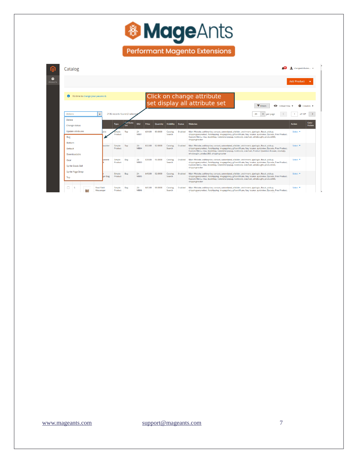

**Performant Magento Extensions** 

#### **C** changeattributes... v Catalog ⋒  $\bullet$ Add Product v Click on change attribute **O** It's time to change your password. set display all attribute set ▼ Filters ● Default View ▼ ☆ Columns ▼ 20  $\bullet$  per page  $\left\{\begin{array}{c|c} \begin{array}{|c|c|c|}\hline \text{1} & \text{of 107} & \text{\end{array}}\hline \end{array}\right\}$ 2136 records found (2 sele Actions Delete  $\begin{array}{|c|} \hline \text{A.trib} \\ \hline \text{Set} \end{array}$ **Color**<br>Patten bility Status Change status Update attributes 24- \$34.00 89.0000 Catalog, Enabled<br>MB01 Search Main Website, askforprice, contact, autorelated, allslider, attchment, ajaxlogin, fbsuit, pickup,<br>shippingperproduct, flatshipping, imagegallery, giftcertificate, faq, locator, quickview, Zipcode, Free Product,<br>Custom Menu Top Select<sup>\*</sup> Bag Bottom 24. 132.00 92.0000 Catalog. Enabled Main Website, askforprice, contact, autorelated, allslider, attchment, ajaxlogin, fixsuit, pickup, Fixsue, Search shipping menyeduct, flashipping mengeallery, gifteerificate, flag, locat Simple Top<br>Product Select  $\star$ Default Downloadable 34.00 96.0000 Catalog, Enabled Main Website, askforprice, contact, autorelated, allslider, attchment, ajaxlogin, fbsuit, pickup, search shippingerproduct, flatshipping, imagegallery, giftcerificate, frae, locator, quickvie Gear Simple Bag<br>Product Select **v Sprite Stasis Ball** Sprite Yoga Strap 545.00 92.0000 Catalog. Enabled Main Website, askforprice, contact, autorelated, alislider, attchment, ajaxlogin, fbsuit, pickup,<br>Search shippingperproduct, flatshipping, imagegallery, giftcerificate, faq. locator, quickvi Select  $\star$ Simple Bag<br>Product 24-<br>MB05 Top  $\hfill\Box\quad$  5 **Rival Field**<br>Messenger  $\begin{tabular}{ll} Simple & Bag \\ Product & \end{tabular}$ 24- \$45.00 98.0000 Catalog, Enabled Main Website, askforprice, contact, autorelated, allislider, attchment, ajaxlogin, fbsuit, pickup, Select \* Select \* Select \* Select \* Select \* Select \* Select \* Select \* Select \* Select 海辺